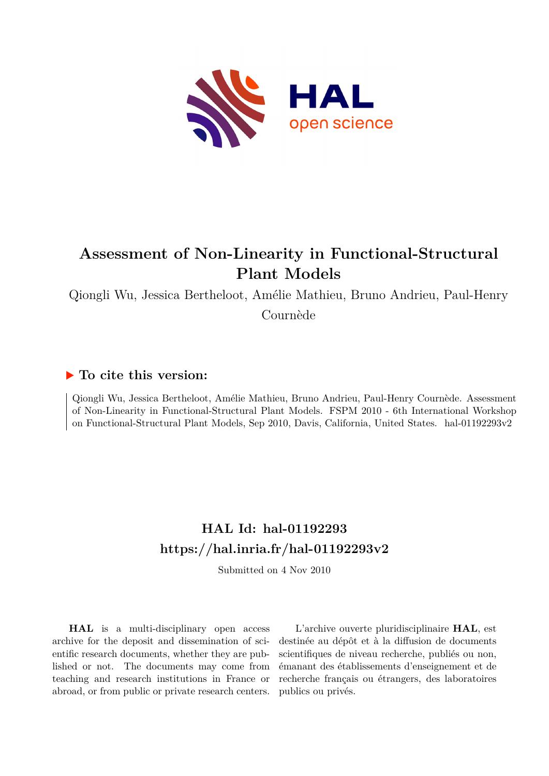

# **Assessment of Non-Linearity in Functional-Structural Plant Models**

Qiongli Wu, Jessica Bertheloot, Amélie Mathieu, Bruno Andrieu, Paul-Henry

Cournède

## **To cite this version:**

Qiongli Wu, Jessica Bertheloot, Amélie Mathieu, Bruno Andrieu, Paul-Henry Cournède. Assessment of Non-Linearity in Functional-Structural Plant Models. FSPM 2010 - 6th International Workshop on Functional-Structural Plant Models, Sep 2010, Davis, California, United States. hal-01192293v2

## **HAL Id: hal-01192293 <https://hal.inria.fr/hal-01192293v2>**

Submitted on 4 Nov 2010

**HAL** is a multi-disciplinary open access archive for the deposit and dissemination of scientific research documents, whether they are published or not. The documents may come from teaching and research institutions in France or abroad, or from public or private research centers.

L'archive ouverte pluridisciplinaire **HAL**, est destinée au dépôt et à la diffusion de documents scientifiques de niveau recherche, publiés ou non, émanant des établissements d'enseignement et de recherche français ou étrangers, des laboratoires publics ou privés.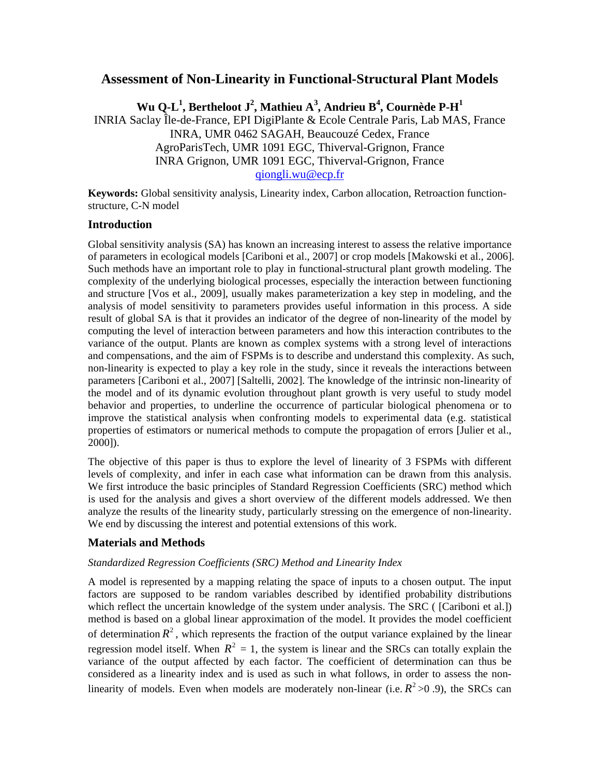### **Assessment of Non-Linearity in Functional-Structural Plant Models**

 $\mathbf{W}$ u Q-L<sup>1</sup>, Bertheloot J<sup>2</sup>, Mathieu A<sup>3</sup>, Andrieu B<sup>4</sup>, Cournède P-H<sup>1</sup>

INRIA Saclay Île-de-France, EPI DigiPlante & Ecole Centrale Paris, Lab MAS, France INRA, UMR 0462 SAGAH, Beaucouzé Cedex, France AgroParisTech, UMR 1091 EGC, Thiverval-Grignon, France INRA Grignon, UMR 1091 EGC, Thiverval-Grignon, France [qiongli.wu@ecp.fr](mailto:pwp@cpsc.ucalgary.ca)

**Keywords:** Global sensitivity analysis, Linearity index, Carbon allocation, Retroaction functionstructure, C-N model

#### **Introduction**

Global sensitivity analysis (SA) has known an increasing interest to assess the relative importance of parameters in ecological models [Cariboni et al., 2007] or crop models [Makowski et al., 2006]. Such methods have an important role to play in functional-structural plant growth modeling. The complexity of the underlying biological processes, especially the interaction between functioning and structure [Vos et al., 2009], usually makes parameterization a key step in modeling, and the analysis of model sensitivity to parameters provides useful information in this process. A side result of global SA is that it provides an indicator of the degree of non-linearity of the model by computing the level of interaction between parameters and how this interaction contributes to the variance of the output. Plants are known as complex systems with a strong level of interactions and compensations, and the aim of FSPMs is to describe and understand this complexity. As such, non-linearity is expected to play a key role in the study, since it reveals the interactions between parameters [Cariboni et al., 2007] [Saltelli, 2002]. The knowledge of the intrinsic non-linearity of the model and of its dynamic evolution throughout plant growth is very useful to study model behavior and properties, to underline the occurrence of particular biological phenomena or to improve the statistical analysis when confronting models to experimental data (e.g. statistical properties of estimators or numerical methods to compute the propagation of errors [Julier et al., 2000]).

The objective of this paper is thus to explore the level of linearity of 3 FSPMs with different levels of complexity, and infer in each case what information can be drawn from this analysis. We first introduce the basic principles of Standard Regression Coefficients (SRC) method which is used for the analysis and gives a short overview of the different models addressed. We then analyze the results of the linearity study, particularly stressing on the emergence of non-linearity. We end by discussing the interest and potential extensions of this work.

### **Materials and Methods**

#### *Standardized Regression Coefficients (SRC) Method and Linearity Index*

A model is represented by a mapping relating the space of inputs to a chosen output. The input factors are supposed to be random variables described by identified probability distributions which reflect the uncertain knowledge of the system under analysis. The SRC ( [Cariboni et al.]) method is based on a global linear approximation of the model. It provides the model coefficient of determination  $R^2$ , which represents the fraction of the output variance explained by the linear regression model itself. When  $R^2 = 1$ , the system is linear and the SRCs can totally explain the variance of the output affected by each factor. The coefficient of determination can thus be considered as a linearity index and is used as such in what follows, in order to assess the nonlinearity of models. Even when models are moderately non-linear (i.e.  $R^2 > 0.9$ ), the SRCs can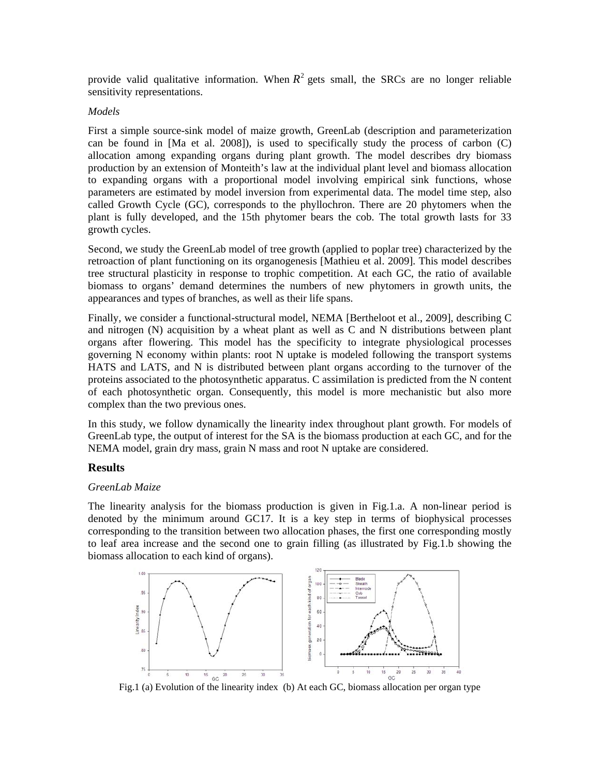provide valid qualitative information. When  $R^2$  gets small, the SRCs are no longer reliable sensitivity representations.

#### *Models*

First a simple source-sink model of maize growth, GreenLab (description and parameterization can be found in [Ma et al. 2008]), is used to specifically study the process of carbon (C) allocation among expanding organs during plant growth. The model describes dry biomass production by an extension of Monteith's law at the individual plant level and biomass allocation to expanding organs with a proportional model involving empirical sink functions, whose parameters are estimated by model inversion from experimental data. The model time step, also called Growth Cycle (GC), corresponds to the phyllochron. There are 20 phytomers when the plant is fully developed, and the 15th phytomer bears the cob. The total growth lasts for 33 growth cycles.

Second, we study the GreenLab model of tree growth (applied to poplar tree) characterized by the retroaction of plant functioning on its organogenesis [Mathieu et al. 2009]. This model describes tree structural plasticity in response to trophic competition. At each GC, the ratio of available biomass to organs' demand determines the numbers of new phytomers in growth units, the appearances and types of branches, as well as their life spans.

Finally, we consider a functional-structural model, NEMA [Bertheloot et al., 2009], describing C and nitrogen (N) acquisition by a wheat plant as well as C and N distributions between plant organs after flowering. This model has the specificity to integrate physiological processes governing N economy within plants: root N uptake is modeled following the transport systems HATS and LATS, and N is distributed between plant organs according to the turnover of the proteins associated to the photosynthetic apparatus. C assimilation is predicted from the N content of each photosynthetic organ. Consequently, this model is more mechanistic but also more complex than the two previous ones.

In this study, we follow dynamically the linearity index throughout plant growth. For models of GreenLab type, the output of interest for the SA is the biomass production at each GC, and for the NEMA model, grain dry mass, grain N mass and root N uptake are considered.

#### **Results**

#### *GreenLab Maize*

The linearity analysis for the biomass production is given in Fig.1.a. A non-linear period is denoted by the minimum around GC17. It is a key step in terms of biophysical processes corresponding to the transition between two allocation phases, the first one corresponding mostly to leaf area increase and the second one to grain filling (as illustrated by Fig.1.b showing the biomass allocation to each kind of organs).

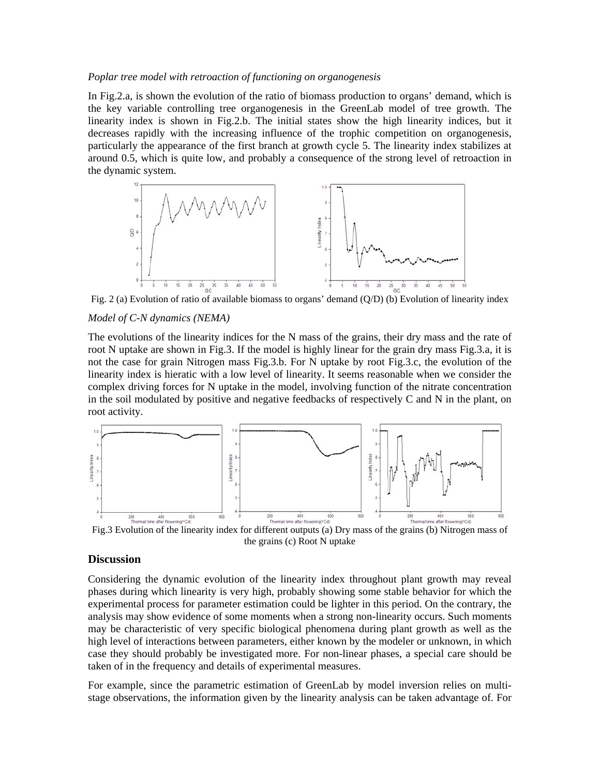#### *Poplar tree model with retroaction of functioning on organogenesis*

In Fig.2.a, is shown the evolution of the ratio of biomass production to organs' demand, which is the key variable controlling tree organogenesis in the GreenLab model of tree growth. The linearity index is shown in Fig.2.b. The initial states show the high linearity indices, but it decreases rapidly with the increasing influence of the trophic competition on organogenesis, particularly the appearance of the first branch at growth cycle 5. The linearity index stabilizes at around 0.5, which is quite low, and probably a consequence of the strong level of retroaction in the dynamic system.



Fig. 2 (a) Evolution of ratio of available biomass to organs' demand (Q/D) (b) Evolution of linearity index

#### *Model of C-N dynamics (NEMA)*

The evolutions of the linearity indices for the N mass of the grains, their dry mass and the rate of root N uptake are shown in Fig.3. If the model is highly linear for the grain dry mass Fig.3.a, it is not the case for grain Nitrogen mass Fig.3.b. For N uptake by root Fig.3.c, the evolution of the linearity index is hieratic with a low level of linearity. It seems reasonable when we consider the complex driving forces for N uptake in the model, involving function of the nitrate concentration in the soil modulated by positive and negative feedbacks of respectively C and N in the plant, on root activity.



the grains (c) Root N uptake

#### **Discussion**

Considering the dynamic evolution of the linearity index throughout plant growth may reveal phases during which linearity is very high, probably showing some stable behavior for which the experimental process for parameter estimation could be lighter in this period. On the contrary, the analysis may show evidence of some moments when a strong non-linearity occurs. Such moments may be characteristic of very specific biological phenomena during plant growth as well as the high level of interactions between parameters, either known by the modeler or unknown, in which case they should probably be investigated more. For non-linear phases, a special care should be taken of in the frequency and details of experimental measures.

For example, since the parametric estimation of GreenLab by model inversion relies on multistage observations, the information given by the linearity analysis can be taken advantage of. For